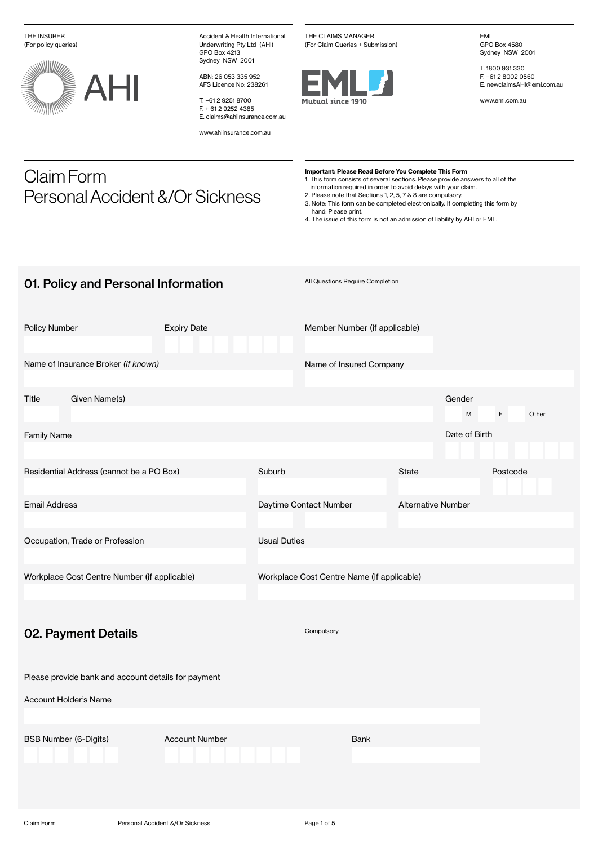THE INSURER (For policy queries)



Claim Form

Personal Accident &/Or Sickness

Accident & Health International Underwriting Pty Ltd (AHI) GPO Box 4213 Sydney NSW 2001

ABN: 26 053 335 952 AFS Licence No: 238261

T. +61 2 9251 8700 F. + 61 2 9252 4385 E. claims@ahiinsurance.com.au

www.ahiinsurance.com.au

THE CLAIMS MANAGER (For Claim Queries + Submission)



EML GPO Box 4580 Sydney NSW 2001

T. 1800 931 330 F. +61 2 8002 0560 E. newclaimsAHI@eml.com.au

www.eml.com.au

## Important: Please Read Before You Complete This Form

1. This form consists of several sections. Please provide answers to all of the

information required in order to avoid delays with your claim. 2. Please note that Sections 1, 2, 5, 7 & 8 are compulsory. 3. Note: This form can be completed electronically. If completing this form by

hand: Please print.

4. The issue of this form is not an admission of liability by AHI or EML.

| 01. Policy and Personal Information |                                                     |                       |                     | All Questions Require Completion           |                           |               |            |  |
|-------------------------------------|-----------------------------------------------------|-----------------------|---------------------|--------------------------------------------|---------------------------|---------------|------------|--|
| Policy Number                       |                                                     | <b>Expiry Date</b>    |                     | Member Number (if applicable)              |                           |               |            |  |
|                                     | Name of Insurance Broker (if known)                 |                       |                     | Name of Insured Company                    |                           |               |            |  |
| Title                               | Given Name(s)                                       |                       |                     |                                            |                           | Gender<br>M   | F<br>Other |  |
| <b>Family Name</b>                  |                                                     |                       |                     |                                            |                           | Date of Birth |            |  |
|                                     | Residential Address (cannot be a PO Box)            |                       | Suburb              |                                            | State                     |               | Postcode   |  |
| <b>Email Address</b>                |                                                     |                       |                     | Daytime Contact Number                     | <b>Alternative Number</b> |               |            |  |
|                                     | Occupation, Trade or Profession                     |                       | <b>Usual Duties</b> |                                            |                           |               |            |  |
|                                     | Workplace Cost Centre Number (if applicable)        |                       |                     | Workplace Cost Centre Name (if applicable) |                           |               |            |  |
|                                     | 02. Payment Details                                 |                       |                     | Compulsory                                 |                           |               |            |  |
|                                     | Please provide bank and account details for payment |                       |                     |                                            |                           |               |            |  |
|                                     | <b>Account Holder's Name</b>                        |                       |                     |                                            |                           |               |            |  |
|                                     | <b>BSB Number (6-Digits)</b>                        | <b>Account Number</b> |                     | <b>Bank</b>                                |                           |               |            |  |
|                                     |                                                     |                       |                     |                                            |                           |               |            |  |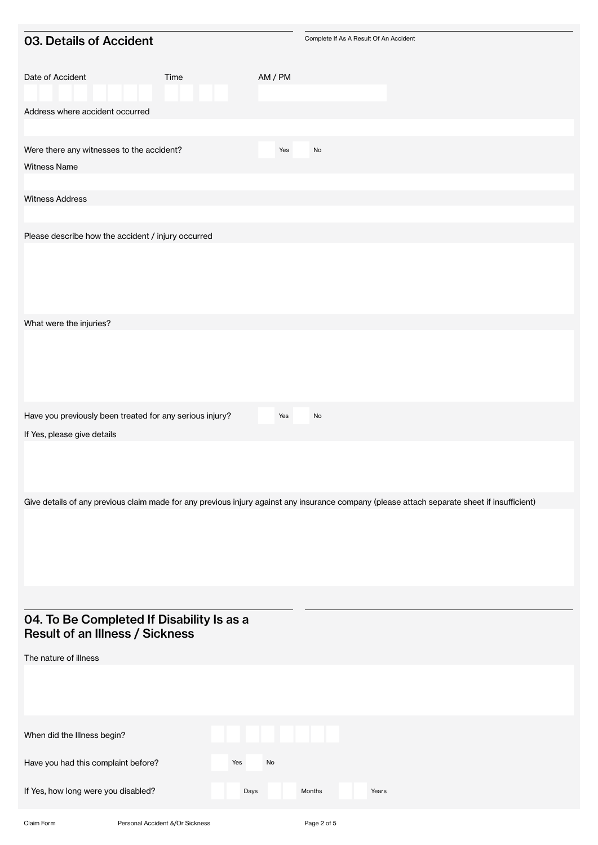| 03. Details of Accident                                                                                                                      |      |         |                              | Complete If As A Result Of An Accident |  |
|----------------------------------------------------------------------------------------------------------------------------------------------|------|---------|------------------------------|----------------------------------------|--|
| Date of Accident                                                                                                                             | Time | AM / PM |                              |                                        |  |
| Address where accident occurred                                                                                                              |      |         |                              |                                        |  |
|                                                                                                                                              |      |         |                              |                                        |  |
| Were there any witnesses to the accident?                                                                                                    |      | Yes     | $\operatorname{\mathsf{No}}$ |                                        |  |
| Witness Name                                                                                                                                 |      |         |                              |                                        |  |
| <b>Witness Address</b>                                                                                                                       |      |         |                              |                                        |  |
|                                                                                                                                              |      |         |                              |                                        |  |
| Please describe how the accident / injury occurred                                                                                           |      |         |                              |                                        |  |
|                                                                                                                                              |      |         |                              |                                        |  |
| What were the injuries?                                                                                                                      |      |         |                              |                                        |  |
|                                                                                                                                              |      |         |                              |                                        |  |
| Have you previously been treated for any serious injury?                                                                                     |      | Yes     | No                           |                                        |  |
| If Yes, please give details                                                                                                                  |      |         |                              |                                        |  |
|                                                                                                                                              |      |         |                              |                                        |  |
| Give details of any previous claim made for any previous injury against any insurance company (please attach separate sheet if insufficient) |      |         |                              |                                        |  |
|                                                                                                                                              |      |         |                              |                                        |  |
|                                                                                                                                              |      |         |                              |                                        |  |
| 04. To Be Completed If Disability Is as a<br><b>Result of an Illness / Sickness</b>                                                          |      |         |                              |                                        |  |
| The nature of illness                                                                                                                        |      |         |                              |                                        |  |
| When did the Illness begin?                                                                                                                  |      |         |                              |                                        |  |
| Have you had this complaint before?                                                                                                          | Yes  | No      |                              |                                        |  |
| If Yes, how long were you disabled?                                                                                                          | Days |         | Months                       | Years                                  |  |
|                                                                                                                                              |      |         |                              |                                        |  |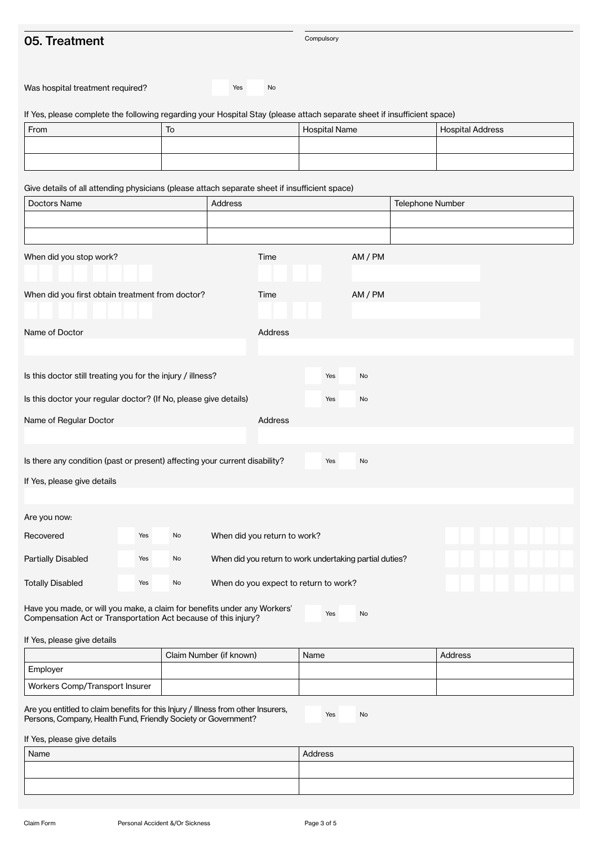## 05. Treatment

Compulsory

| Was hospital treatment required?                                                                                                                        |     |    | Yes     | No                           |                                                         |         |  |                         |  |  |  |  |
|---------------------------------------------------------------------------------------------------------------------------------------------------------|-----|----|---------|------------------------------|---------------------------------------------------------|---------|--|-------------------------|--|--|--|--|
| If Yes, please complete the following regarding your Hospital Stay (please attach separate sheet if insufficient space)                                 |     |    |         |                              |                                                         |         |  |                         |  |  |  |  |
| From                                                                                                                                                    | To  |    |         |                              | <b>Hospital Name</b>                                    |         |  | <b>Hospital Address</b> |  |  |  |  |
|                                                                                                                                                         |     |    |         |                              |                                                         |         |  |                         |  |  |  |  |
|                                                                                                                                                         |     |    |         |                              |                                                         |         |  |                         |  |  |  |  |
| Give details of all attending physicians (please attach separate sheet if insufficient space)                                                           |     |    |         |                              |                                                         |         |  |                         |  |  |  |  |
| Doctors Name                                                                                                                                            |     |    | Address |                              |                                                         |         |  | <b>Telephone Number</b> |  |  |  |  |
|                                                                                                                                                         |     |    |         |                              |                                                         |         |  |                         |  |  |  |  |
|                                                                                                                                                         |     |    |         |                              |                                                         |         |  |                         |  |  |  |  |
| When did you stop work?                                                                                                                                 |     |    |         | Time                         |                                                         | AM / PM |  |                         |  |  |  |  |
|                                                                                                                                                         |     |    |         |                              |                                                         |         |  |                         |  |  |  |  |
| When did you first obtain treatment from doctor?                                                                                                        |     |    |         | Time                         |                                                         | AM / PM |  |                         |  |  |  |  |
|                                                                                                                                                         |     |    |         |                              |                                                         |         |  |                         |  |  |  |  |
| Name of Doctor                                                                                                                                          |     |    |         | Address                      |                                                         |         |  |                         |  |  |  |  |
|                                                                                                                                                         |     |    |         |                              |                                                         |         |  |                         |  |  |  |  |
| Is this doctor still treating you for the injury / illness?                                                                                             |     |    |         |                              | Yes                                                     | No      |  |                         |  |  |  |  |
|                                                                                                                                                         |     |    |         |                              |                                                         |         |  |                         |  |  |  |  |
| Is this doctor your regular doctor? (If No, please give details)                                                                                        |     |    |         |                              | Yes                                                     | No      |  |                         |  |  |  |  |
| Name of Regular Doctor                                                                                                                                  |     |    |         | Address                      |                                                         |         |  |                         |  |  |  |  |
|                                                                                                                                                         |     |    |         |                              |                                                         |         |  |                         |  |  |  |  |
| Is there any condition (past or present) affecting your current disability?                                                                             |     |    |         |                              | Yes                                                     | No      |  |                         |  |  |  |  |
| If Yes, please give details                                                                                                                             |     |    |         |                              |                                                         |         |  |                         |  |  |  |  |
|                                                                                                                                                         |     |    |         |                              |                                                         |         |  |                         |  |  |  |  |
| Are you now:                                                                                                                                            |     |    |         |                              |                                                         |         |  |                         |  |  |  |  |
| Recovered                                                                                                                                               | Yes | No |         | When did you return to work? |                                                         |         |  |                         |  |  |  |  |
| <b>Partially Disabled</b>                                                                                                                               | Yes | No |         |                              | When did you return to work undertaking partial duties? |         |  |                         |  |  |  |  |
|                                                                                                                                                         |     |    |         |                              |                                                         |         |  |                         |  |  |  |  |
| <b>Totally Disabled</b>                                                                                                                                 | Yes | No |         |                              | When do you expect to return to work?                   |         |  |                         |  |  |  |  |
| Have you made, or will you make, a claim for benefits under any Workers'<br>No<br>Yes<br>Compensation Act or Transportation Act because of this injury? |     |    |         |                              |                                                         |         |  |                         |  |  |  |  |

If Yes, please give details

|                                | Claim Number (if known) | Name | Address |
|--------------------------------|-------------------------|------|---------|
| Employer                       |                         |      |         |
| Workers Comp/Transport Insurer |                         |      |         |

Are you entitled to claim benefits for this Injury / Illness from other Insurers, Persons, Company, Health Fund, Friendly Society or Government?

Yes No

If Yes, please give details

| Name | Address |
|------|---------|
|      |         |
|      |         |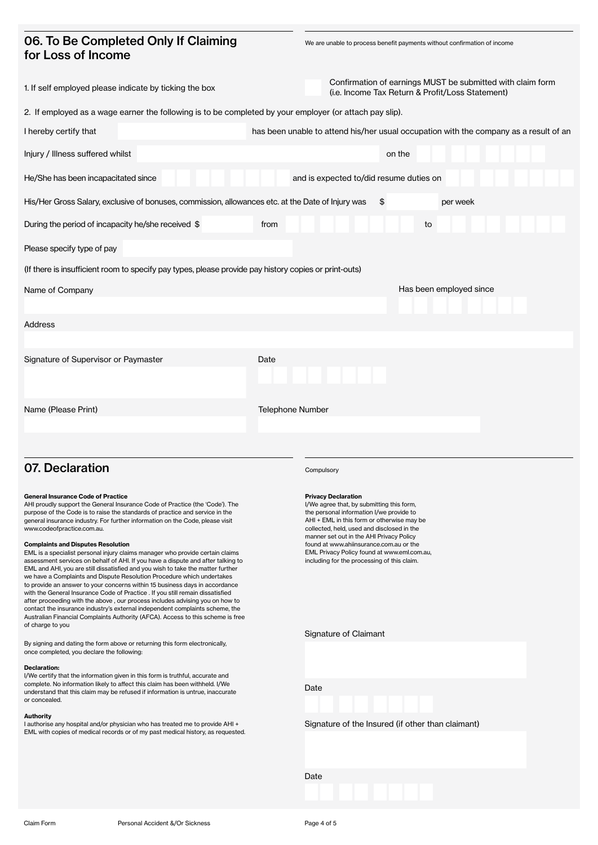## 06. To Be Completed Only If Claiming for Loss of Income

We are unable to process benefit payments without confirmation of income

| 1. If self employed please indicate by ticking the box                                                                                                                                                                                                                                                                                                                                                                                                                                                                                                                                                                                                                                                                                                                                                                                                                                                                                                                                                                                                                                                                      | Confirmation of earnings MUST be submitted with claim form<br>(i.e. Income Tax Return & Profit/Loss Statement)                                                                                                                                                                                                                                                                                       |
|-----------------------------------------------------------------------------------------------------------------------------------------------------------------------------------------------------------------------------------------------------------------------------------------------------------------------------------------------------------------------------------------------------------------------------------------------------------------------------------------------------------------------------------------------------------------------------------------------------------------------------------------------------------------------------------------------------------------------------------------------------------------------------------------------------------------------------------------------------------------------------------------------------------------------------------------------------------------------------------------------------------------------------------------------------------------------------------------------------------------------------|------------------------------------------------------------------------------------------------------------------------------------------------------------------------------------------------------------------------------------------------------------------------------------------------------------------------------------------------------------------------------------------------------|
| 2. If employed as a wage earner the following is to be completed by your employer (or attach pay slip).                                                                                                                                                                                                                                                                                                                                                                                                                                                                                                                                                                                                                                                                                                                                                                                                                                                                                                                                                                                                                     |                                                                                                                                                                                                                                                                                                                                                                                                      |
| I hereby certify that                                                                                                                                                                                                                                                                                                                                                                                                                                                                                                                                                                                                                                                                                                                                                                                                                                                                                                                                                                                                                                                                                                       | has been unable to attend his/her usual occupation with the company as a result of an                                                                                                                                                                                                                                                                                                                |
| Injury / Illness suffered whilst                                                                                                                                                                                                                                                                                                                                                                                                                                                                                                                                                                                                                                                                                                                                                                                                                                                                                                                                                                                                                                                                                            | on the                                                                                                                                                                                                                                                                                                                                                                                               |
| He/She has been incapacitated since                                                                                                                                                                                                                                                                                                                                                                                                                                                                                                                                                                                                                                                                                                                                                                                                                                                                                                                                                                                                                                                                                         | and is expected to/did resume duties on                                                                                                                                                                                                                                                                                                                                                              |
| His/Her Gross Salary, exclusive of bonuses, commission, allowances etc. at the Date of Injury was                                                                                                                                                                                                                                                                                                                                                                                                                                                                                                                                                                                                                                                                                                                                                                                                                                                                                                                                                                                                                           | \$<br>per week                                                                                                                                                                                                                                                                                                                                                                                       |
| During the period of incapacity he/she received \$                                                                                                                                                                                                                                                                                                                                                                                                                                                                                                                                                                                                                                                                                                                                                                                                                                                                                                                                                                                                                                                                          | from<br>to                                                                                                                                                                                                                                                                                                                                                                                           |
| Please specify type of pay                                                                                                                                                                                                                                                                                                                                                                                                                                                                                                                                                                                                                                                                                                                                                                                                                                                                                                                                                                                                                                                                                                  |                                                                                                                                                                                                                                                                                                                                                                                                      |
| (If there is insufficient room to specify pay types, please provide pay history copies or print-outs)                                                                                                                                                                                                                                                                                                                                                                                                                                                                                                                                                                                                                                                                                                                                                                                                                                                                                                                                                                                                                       |                                                                                                                                                                                                                                                                                                                                                                                                      |
| Name of Company                                                                                                                                                                                                                                                                                                                                                                                                                                                                                                                                                                                                                                                                                                                                                                                                                                                                                                                                                                                                                                                                                                             | Has been employed since                                                                                                                                                                                                                                                                                                                                                                              |
| Address                                                                                                                                                                                                                                                                                                                                                                                                                                                                                                                                                                                                                                                                                                                                                                                                                                                                                                                                                                                                                                                                                                                     |                                                                                                                                                                                                                                                                                                                                                                                                      |
|                                                                                                                                                                                                                                                                                                                                                                                                                                                                                                                                                                                                                                                                                                                                                                                                                                                                                                                                                                                                                                                                                                                             |                                                                                                                                                                                                                                                                                                                                                                                                      |
| Signature of Supervisor or Paymaster                                                                                                                                                                                                                                                                                                                                                                                                                                                                                                                                                                                                                                                                                                                                                                                                                                                                                                                                                                                                                                                                                        | Date                                                                                                                                                                                                                                                                                                                                                                                                 |
| Name (Please Print)                                                                                                                                                                                                                                                                                                                                                                                                                                                                                                                                                                                                                                                                                                                                                                                                                                                                                                                                                                                                                                                                                                         | <b>Telephone Number</b>                                                                                                                                                                                                                                                                                                                                                                              |
|                                                                                                                                                                                                                                                                                                                                                                                                                                                                                                                                                                                                                                                                                                                                                                                                                                                                                                                                                                                                                                                                                                                             |                                                                                                                                                                                                                                                                                                                                                                                                      |
|                                                                                                                                                                                                                                                                                                                                                                                                                                                                                                                                                                                                                                                                                                                                                                                                                                                                                                                                                                                                                                                                                                                             |                                                                                                                                                                                                                                                                                                                                                                                                      |
| 07. Declaration                                                                                                                                                                                                                                                                                                                                                                                                                                                                                                                                                                                                                                                                                                                                                                                                                                                                                                                                                                                                                                                                                                             | Compulsory                                                                                                                                                                                                                                                                                                                                                                                           |
| <b>General Insurance Code of Practice</b><br>AHI proudly support the General Insurance Code of Practice (the 'Code'). The<br>purpose of the Code is to raise the standards of practice and service in the<br>general insurance industry. For further information on the Code, please visit<br>www.codeofpractice.com.au.<br><b>Complaints and Disputes Resolution</b><br>EML is a specialist personal injury claims manager who provide certain claims<br>assessment services on behalf of AHI. If you have a dispute and after talking to<br>EML and AHI, you are still dissatisfied and you wish to take the matter further<br>we have a Complaints and Dispute Resolution Procedure which undertakes<br>to provide an answer to your concerns within 15 business days in accordance<br>with the General Insurance Code of Practice . If you still remain dissatisfied<br>after proceeding with the above, our process includes advising you on how to<br>contact the insurance industry's external independent complaints scheme, the<br>Australian Financial Complaints Authority (AFCA). Access to this scheme is free | <b>Privacy Declaration</b><br>I/We agree that, by submitting this form,<br>the personal information I/we provide to<br>AHI + EML in this form or otherwise may be<br>collected, held, used and disclosed in the<br>manner set out in the AHI Privacy Policy<br>found at www.ahiinsurance.com.au or the<br>EML Privacy Policy found at www.eml.com.au,<br>including for the processing of this claim. |
| of charge to you<br>By signing and dating the form above or returning this form electronically,                                                                                                                                                                                                                                                                                                                                                                                                                                                                                                                                                                                                                                                                                                                                                                                                                                                                                                                                                                                                                             | Signature of Claimant                                                                                                                                                                                                                                                                                                                                                                                |
| once completed, you declare the following:                                                                                                                                                                                                                                                                                                                                                                                                                                                                                                                                                                                                                                                                                                                                                                                                                                                                                                                                                                                                                                                                                  |                                                                                                                                                                                                                                                                                                                                                                                                      |
| <b>Declaration:</b><br>I/We certify that the information given in this form is truthful, accurate and<br>complete. No information likely to affect this claim has been withheld. I/We<br>understand that this claim may be refused if information is untrue, inaccurate<br>or concealed.                                                                                                                                                                                                                                                                                                                                                                                                                                                                                                                                                                                                                                                                                                                                                                                                                                    | Date                                                                                                                                                                                                                                                                                                                                                                                                 |
| <b>Authority</b><br>I authorise any hospital and/or physician who has treated me to provide AHI +<br>EML with copies of medical records or of my past medical history, as requested.                                                                                                                                                                                                                                                                                                                                                                                                                                                                                                                                                                                                                                                                                                                                                                                                                                                                                                                                        | Signature of the Insured (if other than claimant)                                                                                                                                                                                                                                                                                                                                                    |
|                                                                                                                                                                                                                                                                                                                                                                                                                                                                                                                                                                                                                                                                                                                                                                                                                                                                                                                                                                                                                                                                                                                             |                                                                                                                                                                                                                                                                                                                                                                                                      |

Date